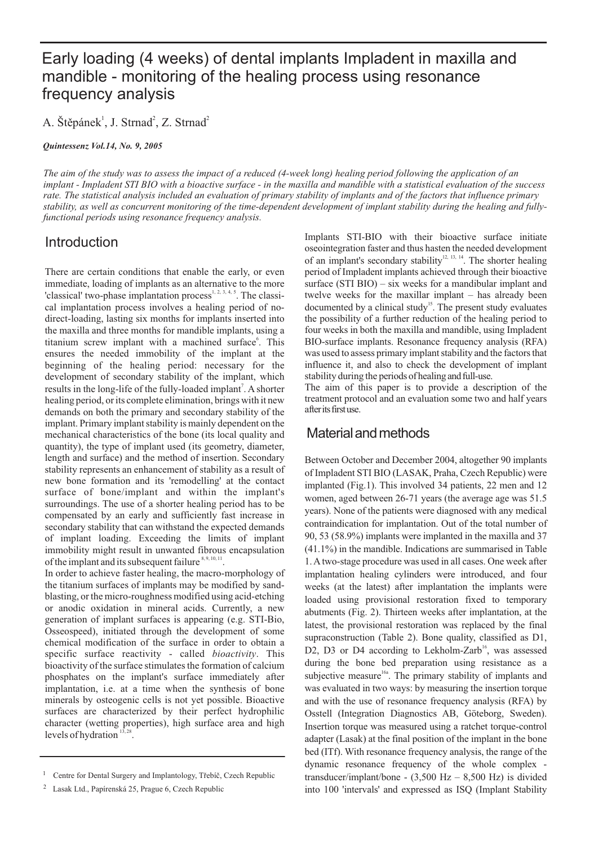# Early loading (4 weeks) of dental implants Impladent in maxilla and mandible - monitoring of the healing process using resonance frequency analysis

A. Štěpánek<sup>1</sup>, J. Strnad<sup>2</sup>, Z. Strnad<sup>2</sup>

*Quintessenz Vol.14, No. 9, 2005*

*The aim of the study was to assess the impact of a reduced (4-week long) healing period following the application of an implant - Impladent STI BIO with a bioactive surface - in the maxilla and mandible with a statistical evaluation of the success rate. The statistical analysis included an evaluation of primary stability of implants and of the factors that influence primary stability, as well as concurrent monitoring of the time-dependent development of implant stability during the healing and fullyfunctional periods using resonance frequency analysis.*

## **Introduction**

There are certain conditions that enable the early, or even immediate, loading of implants as an alternative to the more 'classical' two-phase implantation process $^{1, 2, 3, 4, 5}$ . The classical implantation process involves a healing period of nodirect-loading, lasting six months for implants inserted into the maxilla and three months for mandible implants, using a titanium screw implant with a machined surface<sup>6</sup>. This ensures the needed immobility of the implant at the beginning of the healing period: necessary for the development of secondary stability of the implant, which results in the long-life of the fully-loaded implant<sup>7</sup>. A shorter healing period, or its complete elimination, brings with it new demands on both the primary and secondary stability of the implant. Primary implant stability is mainly dependent on the mechanical characteristics of the bone (its local quality and quantity), the type of implant used (its geometry, diameter, length and surface) and the method of insertion. Secondary stability represents an enhancement of stability as a result of new bone formation and its 'remodelling' at the contact surface of bone/implant and within the implant's surroundings. The use of a shorter healing period has to be compensated by an early and sufficiently fast increase in secondary stability that can withstand the expected demands of implant loading. Exceeding the limits of implant immobility might result in unwanted fibrous encapsulation of the implant and its subsequent failure  $8,9,10,11$ .

In order to achieve faster healing, the macro-morphology of the titanium surfaces of implants may be modified by sandblasting, or the micro-roughness modified using acid-etching or anodic oxidation in mineral acids. Currently, a new generation of implant surfaces is appearing (e.g. STI-Bio, Osseospeed), initiated through the development of some chemical modification of the surface in order to obtain a specific surface reactivity - called *bioactivity*. This bioactivity of the surface stimulates the formation of calcium phosphates on the implant's surface immediately after implantation, i.e. at a time when the synthesis of bone minerals by osteogenic cells is not yet possible. Bioactive surfaces are characterized by their perfect hydrophilic character (wetting properties), high surface area and high levels of hydration  $13,28$ .

Implants STI-BIO with their bioactive surface initiate oseointegration faster and thus hasten the needed development of an implant's secondary stability<sup>12, 13, 14</sup>. The shorter healing period of Impladent implants achieved through their bioactive surface (STI BIO) – six weeks for a mandibular implant and twelve weeks for the maxillar implant – has already been documented by a clinical study<sup>15</sup>. The present study evaluates the possibility of a further reduction of the healing period to four weeks in both the maxilla and mandible, using Impladent BIO-surface implants. Resonance frequency analysis (RFA) was used to assess primary implant stability and the factors that influence it, and also to check the development of implant stability during the periods of healing and full-use.

The aim of this paper is to provide a description of the treatment protocol and an evaluation some two and half years afteritsfirstuse.

## Material and methods

Between October and December 2004, altogether 90 implants of Impladent STI BIO (LASAK, Praha, Czech Republic) were implanted (Fig.1). This involved 34 patients, 22 men and 12 women, aged between 26-71 years (the average age was 51.5 years). None of the patients were diagnosed with any medical contraindication for implantation. Out of the total number of 90, 53 (58.9%) implants were implanted in the maxilla and 37 (41.1%) in the mandible. Indications are summarised in Table 1. Atwo-stage procedure was used in all cases. One week after implantation healing cylinders were introduced, and four weeks (at the latest) after implantation the implants were loaded using provisional restoration fixed to temporary abutments (Fig. 2). Thirteen weeks after implantation, at the latest, the provisional restoration was replaced by the final supraconstruction (Table 2). Bone quality, classified as D1, D2, D3 or D4 according to Lekholm-Zarb<sup>16</sup>, was assessed during the bone bed preparation using resistance as a subjective measure<sup>16a</sup>. The primary stability of implants and was evaluated in two ways: by measuring the insertion torque and with the use of resonance frequency analysis (RFA) by Osstell (Integration Diagnostics AB, Göteborg, Sweden). Insertion torque was measured using a ratchet torque-control adapter (Lasak) at the final position of the implant in the bone bed (ITf). With resonance frequency analysis, the range of the dynamic resonance frequency of the whole complex transducer/implant/bone -  $(3,500 \text{ Hz} - 8,500 \text{ Hz})$  is divided into 100 'intervals' and expressed as ISQ (Implant Stability

<sup>&</sup>lt;sup>1</sup> Centre for Dental Surgery and Implantology, Třebíč, Czech Republic

<sup>2</sup> Lasak Ltd., Papírenská 25, Prague 6, Czech Republic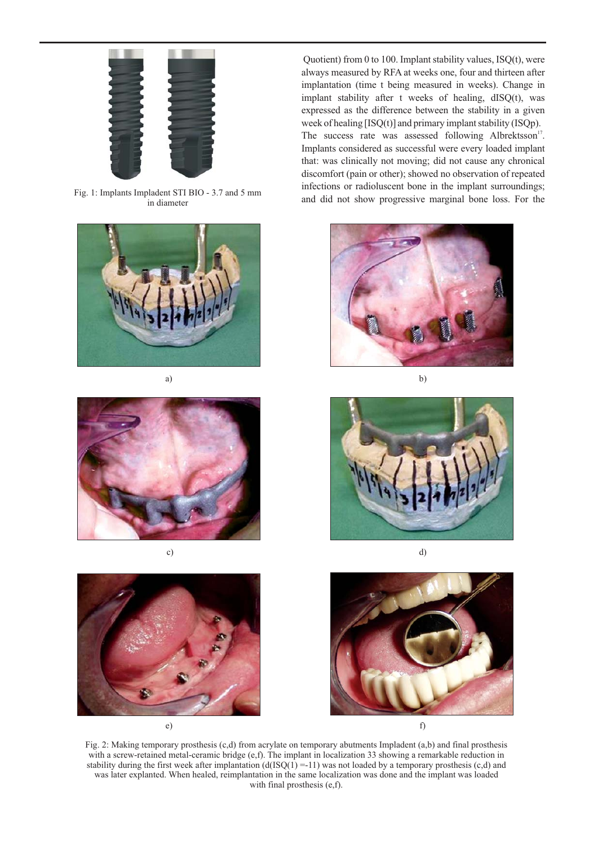

Fig. 1: Implants Impladent STI BIO - 3.7 and 5 mm in diameter



a) b)







Quotient) from 0 to 100. Implant stability values, ISQ(t), were always measured by RFA at weeks one, four and thirteen after implantation (time t being measured in weeks). Change in implant stability after t weeks of healing, dISQ(t), was expressed as the difference between the stability in a given week of healing [ISQ(t)] and primary implant stability (ISQp). The success rate was assessed following Albrektsson<sup>17</sup>. Implants considered as successful were every loaded implant that: was clinically not moving; did not cause any chronical discomfort (pain or other); showed no observation of repeated infections or radioluscent bone in the implant surroundings; and did not show progressive marginal bone loss. For the







Fig. 2: Making temporary prosthesis (c,d) from acrylate on temporary abutments Impladent (a,b) and final prosthesis with a screw-retained metal-ceramic bridge (e,f). The implant in localization 33 showing a remarkable reduction in stability during the first week after implantation  $(d(ISQ(1) = -11))$  was not loaded by a temporary prosthesis (c,d) and was later explanted. When healed, reimplantation in the same localization was done and the implant was loaded with final prosthesis (e,f).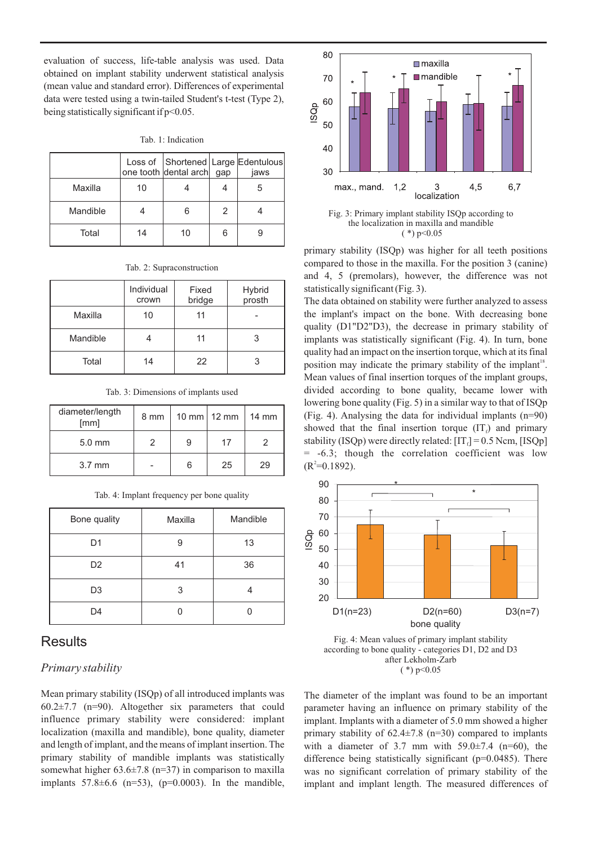evaluation of success, life-table analysis was used. Data obtained on implant stability underwent statistical analysis (mean value and standard error). Differences of experimental data were tested using a twin-tailed Student's t-test (Type 2), being statistically significant if p<0.05.

|  | Tab. 1: Indication |  |
|--|--------------------|--|
|  |                    |  |

|          |    | one tooth dental arch gap |               | Loss of Shortened Large Edentulous<br>jaws |
|----------|----|---------------------------|---------------|--------------------------------------------|
| Maxilla  | 10 |                           |               |                                            |
| Mandible |    |                           | $\mathcal{P}$ |                                            |
| Total    | 14 | 10                        | 6             |                                            |

Tab. 2: Supraconstruction

|          | Individual<br>crown | Fixed<br>bridge | Hybrid<br>prosth |
|----------|---------------------|-----------------|------------------|
| Maxilla  | 10                  | 11              |                  |
| Mandible |                     | 11              | 3                |
| Total    | 14                  | 22              | 3                |

Tab. 3: Dimensions of implants used

| diameter/length<br>[mm] | 8 mm |   | 10 mm $\vert$ 12 mm | 14 mm |
|-------------------------|------|---|---------------------|-------|
| $5.0 \text{ mm}$        |      | 9 | 17                  |       |
| $3.7 \text{ mm}$        |      | 6 | 25                  | 29    |

|  | Tab. 4: Implant frequency per bone quality |  |
|--|--------------------------------------------|--|
|  |                                            |  |

| Bone quality   | Maxilla | Mandible |
|----------------|---------|----------|
| D <sub>1</sub> | 9       | 13       |
| D <sub>2</sub> | 41      | 36       |
| D <sub>3</sub> | 3       |          |
| D4             |         |          |

## **Results**

#### *Primary stability*

Mean primary stability (ISQp) of all introduced implants was  $60.2\pm7.7$  (n=90). Altogether six parameters that could influence primary stability were considered: implant localization (maxilla and mandible), bone quality, diameter and length of implant, and the means of implant insertion. The primary stability of mandible implants was statistically somewhat higher  $63.6\pm7.8$  (n=37) in comparison to maxilla implants  $57.8 \pm 6.6$  (n=53), (p=0.0003). In the mandible,



Fig. 3: Primary implant stability ISQp according to the localization in maxilla and mandible  $(*)$  p  $< 0.05$ 

primary stability (ISQp) was higher for all teeth positions compared to those in the maxilla. For the position 3 (canine) and 4, 5 (premolars), however, the difference was not statistically significant (Fig. 3).

The data obtained on stability were further analyzed to assess the implant's impact on the bone. With decreasing bone quality (D1"D2"D3), the decrease in primary stability of implants was statistically significant (Fig. 4). In turn, bone quality had an impact on the insertion torque, which at its final position may indicate the primary stability of the implant<sup>18</sup>. Mean values of final insertion torques of the implant groups, divided according to bone quality, became lower with lowering bone quality (Fig. 5) in a similar way to that of ISQp (Fig. 4). Analysing the data for individual implants (n=90) showed that the final insertion torque  $(IT<sub>f</sub>)$  and primary stability (ISQp) were directly related:  $[T<sub>f</sub>] = 0.5$  Ncm, [ISQp] = -6.3; though the correlation coefficient was low  $(R<sup>2</sup>=0.1892).$ 



Fig. 4: Mean values of primary implant stability according to bone quality - categories D1, D2 and D3 after Lekholm-Zarb  $(*)$  p<0.05

The diameter of the implant was found to be an important parameter having an influence on primary stability of the implant. Implants with a diameter of 5.0 mm showed a higher primary stability of  $62.4\pm7.8$  (n=30) compared to implants with a diameter of 3.7 mm with  $59.0 \pm 7.4$  (n=60), the difference being statistically significant (p=0.0485). There was no significant correlation of primary stability of the implant and implant length. The measured differences of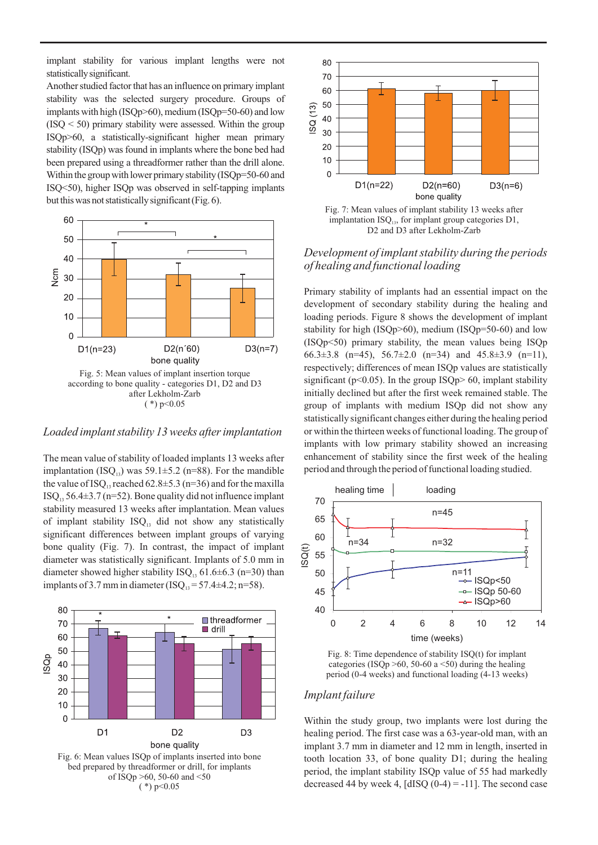implant stability for various implant lengths were not statistically significant.

Another studied factor that has an influence on primary implant stability was the selected surgery procedure. Groups of implants with high (ISQp>60), medium (ISQp=50-60) and low  $(ISO < 50)$  primary stability were assessed. Within the group ISQp>60, a statistically-significant higher mean primary stability (ISQp) was found in implants where the bone bed had been prepared using a threadformer rather than the drill alone. Within the group with lower primary stability (ISOp=50-60 and ISQ<50), higher ISQp was observed in self-tapping implants but this was not statistically significant (Fig. 6).



 $(*)$  p<0.05

#### *Loaded implant stability 13 weeks after implantation*

The mean value of stability of loaded implants 13 weeks after implantation (ISQ<sub>13</sub>) was 59.1 $\pm$ 5.2 (n=88). For the mandible the value of ISQ<sub>13</sub> reached  $62.8 \pm 5.3$  (n=36) and for the maxilla  $ISO_{13}$  56.4 $\pm$ 3.7 (n=52). Bone quality did not influence implant stability measured 13 weeks after implantation. Mean values of implant stability  $ISO<sub>13</sub>$  did not show any statistically significant differences between implant groups of varying bone quality (Fig. 7). In contrast, the impact of implant diameter was statistically significant. Implants of 5.0 mm in diameter showed higher stability  $ISO_{13}$  61.6 $\pm$ 6.3 (n=30) than implants of 3.7 mm in diameter (ISQ<sub>13</sub> = 57.4 $\pm$ 4.2; n=58).





Fig. 7: Mean values of implant stability 13 weeks after implantation  $ISO<sub>13</sub>$ , for implant group categories D1, D2 and D3 after Lekholm-Zarb

#### *Development of implant stability during the periods of healing and functional loading*

Primary stability of implants had an essential impact on the development of secondary stability during the healing and loading periods. Figure 8 shows the development of implant stability for high (ISQp>60), medium (ISQp=50-60) and low (ISQp<50) primary stability, the mean values being ISQp 66.3 $\pm$ 3.8 (n=45), 56.7 $\pm$ 2.0 (n=34) and 45.8 $\pm$ 3.9 (n=11), respectively; differences of mean ISQp values are statistically significant ( $p<0.05$ ). In the group ISQ $p>60$ , implant stability initially declined but after the first week remained stable. The group of implants with medium ISQp did not show any statistically significant changes either during the healing period or within the thirteen weeks of functional loading. The group of implants with low primary stability showed an increasing enhancement of stability since the first week of the healing period and through the period of functional loading studied.



Fig. 8: Time dependence of stability ISQ(t) for implant categories (ISQp >60, 50-60 a <50) during the healing period (0-4 weeks) and functional loading (4-13 weeks)

#### *Implant failure*

Within the study group, two implants were lost during the healing period. The first case was a 63-year-old man, with an implant 3.7 mm in diameter and 12 mm in length, inserted in tooth location 33, of bone quality D1; during the healing period, the implant stability ISQp value of 55 had markedly decreased 44 by week 4,  $[dISQ (0-4) = -11]$ . The second case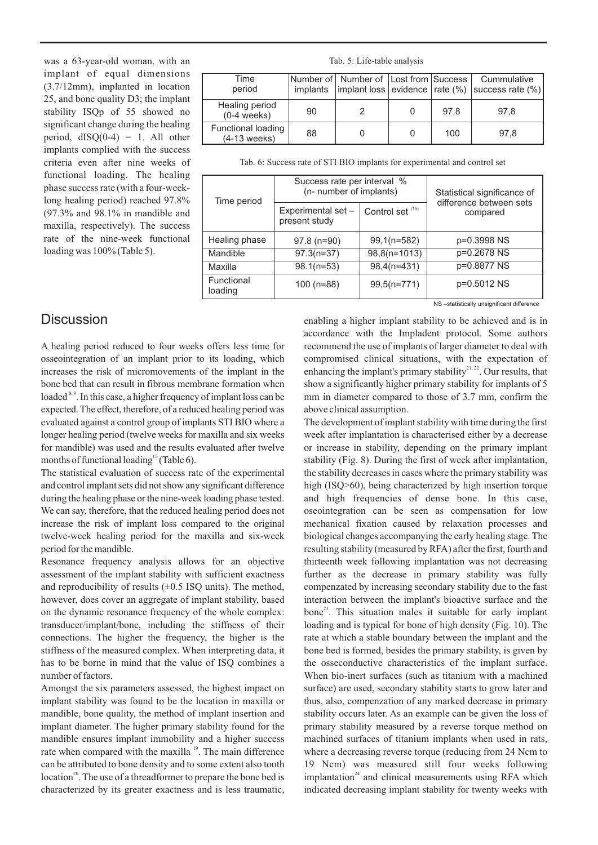was a 63-year-old woman, with an implant of equal dimensions (3.7/12mm), implanted in location 25, and bone quality D3; the implant stability ISQp of 55 showed no significant change during the healing period,  $dISQ(0-4) = 1$ . All other implants complied with the success criteria even after nine weeks of functional loading. The healing phase success rate (with a four-weeklong healing period) reached 97.8% (97.3% and 98.1% in mandible and maxilla, respectively). The success rate of the nine-week functional loading was  $100\%$  (Table 5).

Tab. 5: Life-table analysis

| Time<br>period                              |    | Number of Number of Lost from Success |      | Cummulative<br>implants   implant loss evidence $\vert$ rate (%) $\vert$ success rate (%) |
|---------------------------------------------|----|---------------------------------------|------|-------------------------------------------------------------------------------------------|
| Healing period<br>$(0-4$ weeks)             | 90 |                                       | 97.8 | 97.8                                                                                      |
| <b>Functional loading</b><br>$(4-13$ weeks) | 88 |                                       | 100  | 97.8                                                                                      |

Tab. 6: Success rate of STI BIO implants for experimental and control set

| Time period           | Success rate per interval %<br>(n- number of implants) |                    | Statistical significance of<br>difference between sets |  |
|-----------------------|--------------------------------------------------------|--------------------|--------------------------------------------------------|--|
|                       | Experimental set -<br>present study                    | Control set $(15)$ | compared                                               |  |
| Healing phase         | $97.8(n=90)$                                           | $99,1(n=582)$      | p=0.3998 NS                                            |  |
| Mandible              | $97.3(n=37)$                                           | 98,8(n=1013)       | p=0.2678 NS                                            |  |
| Maxilla               | $98.1(n=53)$                                           | $98,4(n=431)$      | p=0.8877 NS                                            |  |
| Functional<br>loading | 100 (n=88)                                             | $99,5(n=771)$      | p=0.5012 NS                                            |  |

## **Discussion**

A healing period reduced to four weeks offers less time for osseointegration of an implant prior to its loading, which increases the risk of micromovements of the implant in the bone bed that can result in fibrous membrane formation when loaded  $8.9$ . In this case, a higher frequency of implant loss can be expected. The effect, therefore, of a reduced healing period was evaluated against a control group of implants STI BIO where a longer healing period (twelve weeks for maxilla and six weeks for mandible) was used and the results evaluated after twelve months of functional loading<sup>15</sup> (Table 6).

The statistical evaluation of success rate of the experimental and control implant sets did not show any significant difference during the healing phase or the nine-week loading phase tested. We can say, therefore, that the reduced healing period does not increase the risk of implant loss compared to the original twelve-week healing period for the maxilla and six-week period for the mandible.

Resonance frequency analysis allows for an objective assessment of the implant stability with sufficient exactness and reproducibility of results  $(\pm 0.5 \text{ ISQ units})$ . The method, however, does cover an aggregate of implant stability, based on the dynamic resonance frequency of the whole complex: transducer/implant/bone, including the stiffness of their connections. The higher the frequency, the higher is the stiffness of the measured complex. When interpreting data, it has to be borne in mind that the value of ISQ combines a number of factors.

Amongst the six parameters assessed, the highest impact on implant stability was found to be the location in maxilla or mandible, bone quality, the method of implant insertion and implant diameter. The higher primary stability found for the mandible ensures implant immobility and a higher success rate when compared with the maxilla <sup>19</sup>. The main difference can be attributed to bone density and to some extent also tooth location<sup>20</sup>. The use of a threadformer to prepare the bone bed is characterized by its greater exactness and is less traumatic, NS –statistically unsignificant difference

enabling a higher implant stability to be achieved and is in accordance with the Impladent protocol. Some authors recommend the use of implants of larger diameter to deal with compromised clinical situations, with the expectation of enhancing the implant's primary stability $2^{1,22}$ . Our results, that show a significantly higher primary stability for implants of 5 mm in diameter compared to those of 3.7 mm, confirm the above clinical assumption.

The development of implant stability with time during the first week after implantation is characterised either by a decrease or increase in stability, depending on the primary implant stability (Fig. 8). During the first of week after implantation, the stability decreases in cases where the primary stability was high (ISQ>60), being characterized by high insertion torque and high frequencies of dense bone. In this case, oseointegration can be seen as compensation for low mechanical fixation caused by relaxation processes and biological changes accompanying the early healing stage. The resulting stability (measured by RFA) after the first, fourth and thirteenth week following implantation was not decreasing further as the decrease in primary stability was fully compenzated by increasing secondary stability due to the fast interaction between the implant's bioactive surface and the bone<sup>23</sup>. This situation males it suitable for early implant loading and is typical for bone of high density (Fig. 10). The rate at which a stable boundary between the implant and the bone bed is formed, besides the primary stability, is given by the osseconductive characteristics of the implant surface. When bio-inert surfaces (such as titanium with a machined surface) are used, secondary stability starts to grow later and thus, also, compenzation of any marked decrease in primary stability occurs later. As an example can be given the loss of primary stability measured by a reverse torque method on machined surfaces of titanium implants when used in rats, where a decreasing reverse torque (reducing from 24 Ncm to 19 Ncm) was measured still four weeks following implantation<sup>24</sup> and clinical measurements using RFA which indicated decreasing implant stability for twenty weeks with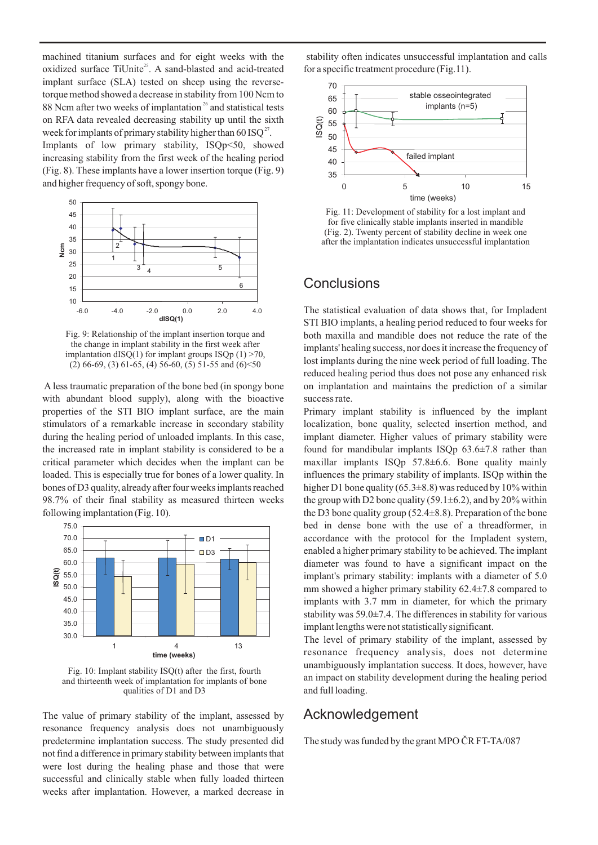machined titanium surfaces and for eight weeks with the oxidized surface TiUnite<sup>25</sup>. A sand-blasted and acid-treated implant surface (SLA) tested on sheep using the reversetorque method showed a decrease in stability from 100 Ncm to 88 Ncm after two weeks of implantation<sup>26</sup> and statistical tests on RFA data revealed decreasing stability up until the sixth week for implants of primary stability higher than 60 ISQ<sup>27</sup>.

Implants of low primary stability, ISQp<50, showed increasing stability from the first week of the healing period (Fig. 8). These implants have a lower insertion torque (Fig. 9) and higher frequency of soft, spongy bone.



Fig. 9: Relationship of the implant insertion torque and the change in implant stability in the first week after implantation dISQ(1) for implant groups ISQp  $(1)$  >70,  $(2)$  66-69,  $(3)$  61-65,  $(4)$  56-60,  $(5)$  51-55 and  $(6)$  <50

A less traumatic preparation of the bone bed (in spongy bone with abundant blood supply), along with the bioactive properties of the STI BIO implant surface, are the main stimulators of a remarkable increase in secondary stability during the healing period of unloaded implants. In this case, the increased rate in implant stability is considered to be a critical parameter which decides when the implant can be loaded. This is especially true for bones of a lower quality. In bones of D3 quality, already after four weeks implants reached 98.7% of their final stability as measured thirteen weeks following implantation (Fig. 10).



Fig. 10: Implant stability ISQ(t) after the first, fourth and thirteenth week of implantation for implants of bone qualities of D1 and D3

The value of primary stability of the implant, assessed by resonance frequency analysis does not unambiguously predetermine implantation success. The study presented did not find a difference in primary stability between implants that were lost during the healing phase and those that were successful and clinically stable when fully loaded thirteen weeks after implantation. However, a marked decrease in

stability often indicates unsuccessful implantation and calls for a specific treatment procedure (Fig.11).



Fig. 11: Development of stability for a lost implant and for five clinically stable implants inserted in mandible (Fig. 2). Twenty percent of stability decline in week one after the implantation indicates unsuccessful implantation

### **Conclusions**

The statistical evaluation of data shows that, for Impladent STI BIO implants, a healing period reduced to four weeks for both maxilla and mandible does not reduce the rate of the implants' healing success, nor does it increase the frequency of lost implants during the nine week period of full loading. The reduced healing period thus does not pose any enhanced risk on implantation and maintains the prediction of a similar success rate.

Primary implant stability is influenced by the implant localization, bone quality, selected insertion method, and implant diameter. Higher values of primary stability were found for mandibular implants ISQp 63.6±7.8 rather than maxillar implants ISQp 57.8±6.6. Bone quality mainly influences the primary stability of implants. ISQp within the higher D1 bone quality (65.3 $\pm$ 8.8) was reduced by 10% within the group with D2 bone quality (59.1 $\pm$ 6.2), and by 20% within the D3 bone quality group (52.4 $\pm$ 8.8). Preparation of the bone bed in dense bone with the use of a threadformer, in accordance with the protocol for the Impladent system, enabled a higher primary stability to be achieved. The implant diameter was found to have a significant impact on the implant's primary stability: implants with a diameter of 5.0 mm showed a higher primary stability 62.4±7.8 compared to implants with 3.7 mm in diameter, for which the primary stability was 59.0±7.4. The differences in stability for various implant lengths were not statistically significant.

The level of primary stability of the implant, assessed by resonance frequency analysis, does not determine unambiguously implantation success. It does, however, have an impact on stability development during the healing period and full loading.

### Acknowledgement

The study was funded by the grant MPO ČR FT-TA/087